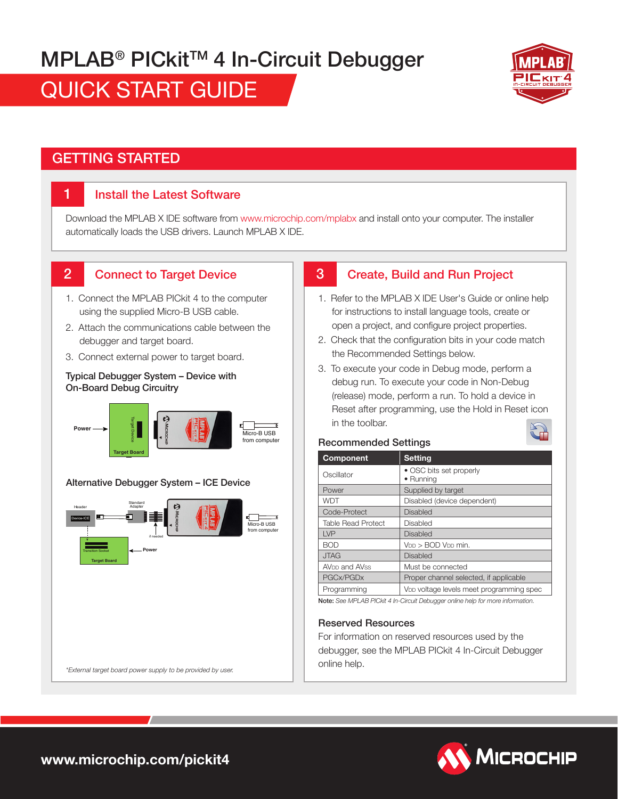# **MPLAB<sup>®</sup> PICkit<sup>™</sup> 4 In-Circuit Debugger**

QUICK START GUIDE



# GETTING STARTED

1

## Install the Latest Software

Download the MPLAB X IDE software from www.microchip.com/mplabx and install onto your computer. The installer automatically loads the USB drivers. Launch MPLAB X IDE.

3

#### Connect to Target Device 2

- 1. Connect the MPLAB PICkit 4 to the computer using the supplied Micro-B USB cable.
- 2. Attach the communications cable between the debugger and target board.
- 3. Connect external power to target board.

#### Typical Debugger System – Device with On-Board Debug Circuitry



#### Alternative Debugger System – ICE Device



# Create, Build and Run Project

- 1. Refer to the MPLAB X IDE User's Guide or online help for instructions to install language tools, create or open a project, and configure project properties.
- 2. Check that the configuration bits in your code match the Recommended Settings below.
- 3. To execute your code in Debug mode, perform a debug run. To execute your code in Non-Debug (release) mode, perform a run. To hold a device in Reset after programming, use the Hold in Reset icon in the toolbar.

#### Recommended Settings

| <b>Component</b>                                                               | <b>Setting</b>                                       |  |  |  |
|--------------------------------------------------------------------------------|------------------------------------------------------|--|--|--|
| Oscillator                                                                     | • OSC bits set properly<br>• Runnina                 |  |  |  |
| Power                                                                          | Supplied by target                                   |  |  |  |
| <b>WDT</b>                                                                     | Disabled (device dependent)                          |  |  |  |
| Code-Protect                                                                   | <b>Disabled</b>                                      |  |  |  |
| <b>Table Read Protect</b>                                                      | Disabled                                             |  |  |  |
| I VP                                                                           | <b>Disabled</b>                                      |  |  |  |
| <b>BOD</b>                                                                     | V <sub>DD</sub> > BOD V <sub>DD</sub> min.           |  |  |  |
| <b>JTAG</b>                                                                    | <b>Disabled</b>                                      |  |  |  |
| AV <sub>DD</sub> and AVss                                                      | Must be connected                                    |  |  |  |
| PGCx/PGDx                                                                      | Proper channel selected, if applicable               |  |  |  |
| Programming                                                                    | V <sub>DD</sub> voltage levels meet programming spec |  |  |  |
| Note: See MPLAR PIO kit A In-Oircuit Debugaer online help for more information |                                                      |  |  |  |

Note: *See MPLAB PICkit 4 In-Circuit Debugger online help for more information.*

#### Reserved Resources

For information on reserved resources used by the debugger, see the MPLAB PICkit 4 In-Circuit Debugger online help.



*\*External target board power supply to be provided by user.*